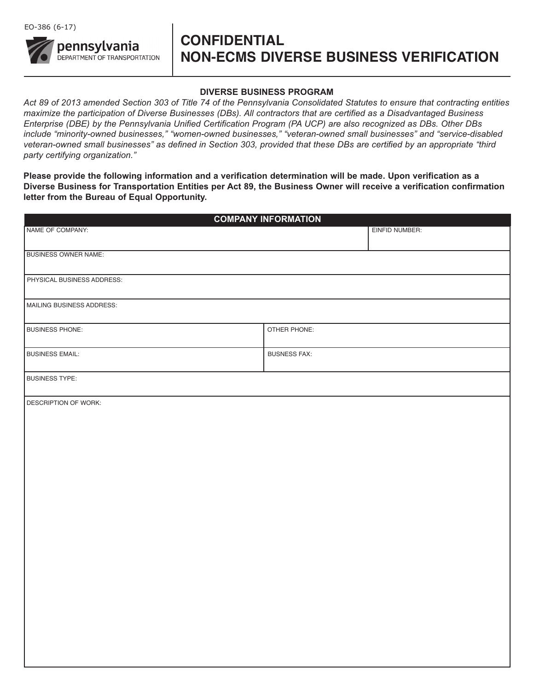

# **CONFIDENTIAL NON-ECMS DIVERSE BUSINESS VERIFICATION**

#### **DIVERSE BUSINESS PROGRAM**

*Act 89 of 2013 amended Section 303 of Title 74 of the Pennsylvania Consolidated Statutes to ensure that contracting entities maximize the participation of Diverse Businesses (DBs). All contractors that are certified as a Disadvantaged Business Enterprise (DBE) by the Pennsylvania Unified Certification Program (PA UCP) are also recognized as DBs. Other DBs include "minority-owned businesses," "women-owned businesses," "veteran-owned small businesses" and "service-disabled veteran-owned small businesses" as defined in Section 303, provided that these DBs are certified by an appropriate "third party certifying organization."* 

**Please provide the following information and a verification determination will be made. Upon verification as a Diverse Business for Transportation Entities per Act 89, the Business Owner will receive a verification confirmation letter from the Bureau of Equal Opportunity.** 

| <b>COMPANY INFORMATION</b>  |                     |  |
|-----------------------------|---------------------|--|
| NAME OF COMPANY:            | EINFID NUMBER:      |  |
| <b>BUSINESS OWNER NAME:</b> |                     |  |
| PHYSICAL BUSINESS ADDRESS:  |                     |  |
| MAILING BUSINESS ADDRESS:   |                     |  |
| <b>BUSINESS PHONE:</b>      | OTHER PHONE:        |  |
| <b>BUSINESS EMAIL:</b>      | <b>BUSNESS FAX:</b> |  |
| <b>BUSINESS TYPE:</b>       |                     |  |
| DESCRIPTION OF WORK:        |                     |  |
|                             |                     |  |
|                             |                     |  |
|                             |                     |  |
|                             |                     |  |
|                             |                     |  |
|                             |                     |  |
|                             |                     |  |
|                             |                     |  |
|                             |                     |  |
|                             |                     |  |
|                             |                     |  |